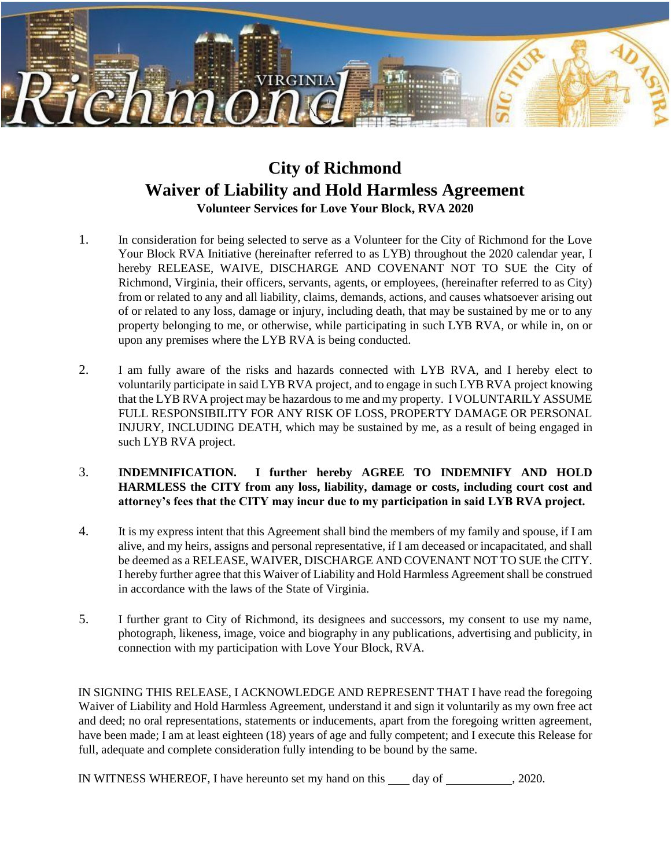

## **City of Richmond Waiver of Liability and Hold Harmless Agreement Volunteer Services for Love Your Block, RVA 2020**

- 1. In consideration for being selected to serve as a Volunteer for the City of Richmond for the Love Your Block RVA Initiative (hereinafter referred to as LYB) throughout the 2020 calendar year, I hereby RELEASE, WAIVE, DISCHARGE AND COVENANT NOT TO SUE the City of Richmond, Virginia, their officers, servants, agents, or employees, (hereinafter referred to as City) from or related to any and all liability, claims, demands, actions, and causes whatsoever arising out of or related to any loss, damage or injury, including death, that may be sustained by me or to any property belonging to me, or otherwise, while participating in such LYB RVA, or while in, on or upon any premises where the LYB RVA is being conducted.
- 2. I am fully aware of the risks and hazards connected with LYB RVA, and I hereby elect to voluntarily participate in said LYB RVA project, and to engage in such LYB RVA project knowing that the LYB RVA project may be hazardous to me and my property. I VOLUNTARILY ASSUME FULL RESPONSIBILITY FOR ANY RISK OF LOSS, PROPERTY DAMAGE OR PERSONAL INJURY, INCLUDING DEATH, which may be sustained by me, as a result of being engaged in such LYB RVA project.
- 3. **INDEMNIFICATION. I further hereby AGREE TO INDEMNIFY AND HOLD HARMLESS the CITY from any loss, liability, damage or costs, including court cost and attorney's fees that the CITY may incur due to my participation in said LYB RVA project.**
- 4. It is my express intent that this Agreement shall bind the members of my family and spouse, if I am alive, and my heirs, assigns and personal representative, if I am deceased or incapacitated, and shall be deemed as a RELEASE, WAIVER, DISCHARGE AND COVENANT NOT TO SUE the CITY. I hereby further agree that this Waiver of Liability and Hold Harmless Agreement shall be construed in accordance with the laws of the State of Virginia.
- 5. I further grant to City of Richmond, its designees and successors, my consent to use my name, photograph, likeness, image, voice and biography in any publications, advertising and publicity, in connection with my participation with Love Your Block, RVA.

IN SIGNING THIS RELEASE, I ACKNOWLEDGE AND REPRESENT THAT I have read the foregoing Waiver of Liability and Hold Harmless Agreement, understand it and sign it voluntarily as my own free act and deed; no oral representations, statements or inducements, apart from the foregoing written agreement, have been made; I am at least eighteen (18) years of age and fully competent; and I execute this Release for full, adequate and complete consideration fully intending to be bound by the same.

IN WITNESS WHEREOF, I have hereunto set my hand on this day of , 2020.